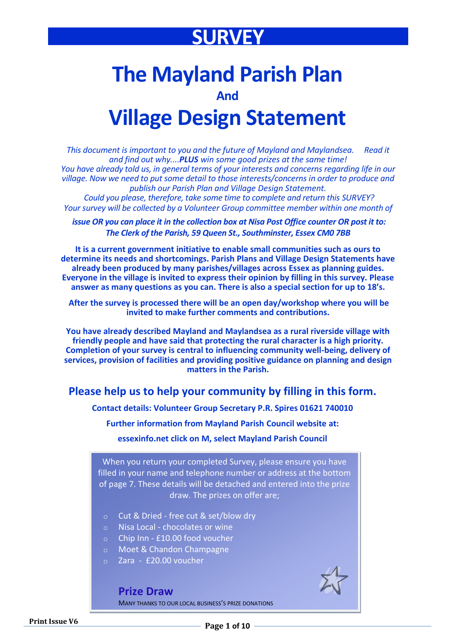## **SURVEY**

# **The Mayland Parish Plan**

**And**

## **Village Design Statement**

*This document is important to you and the future of Mayland and Maylandsea. Read it and find out why....PLUS win some good prizes at the same time! You have already told us, in general terms of your interests and concerns regarding life in our village. Now we need to put some detail to those interests/concerns in order to produce and publish our Parish Plan and Village Design Statement.*

*Could you please, therefore, take some time to complete and return this SURVEY? Your survey will be collected by a Volunteer Group committee member within one month of* 

*issue OR you can place it in the collection box at Nisa Post Office counter OR post it to: The Clerk of the Parish, 59 Queen St., Southminster, Essex CM0 7BB*

**It is a current government initiative to enable small communities such as ours to determine its needs and shortcomings. Parish Plans and Village Design Statements have already been produced by many parishes/villages across Essex as planning guides. Everyone in the village is invited to express their opinion by filling in this survey. Please answer as many questions as you can. There is also a special section for up to 18's.**

**After the survey is processed there will be an open day/workshop where you will be invited to make further comments and contributions.**

**You have already described Mayland and Maylandsea as a rural riverside village with friendly people and have said that protecting the rural character is a high priority. Completion of your survey is central to influencing community well-being, delivery of services, provision of facilities and providing positive guidance on planning and design matters in the Parish.**

### **Please help us to help your community by filling in this form.**

**Contact details: Volunteer Group Secretary P.R. Spires 01621 740010**

**Further information from Mayland Parish Council website at:**

**essexinfo.net click on M, select Mayland Parish Council**

When you return your completed Survey, please ensure you have filled in your name and telephone number or address at the bottom of page 7. These details will be detached and entered into the prize draw. The prizes on offer are;

- o Cut & Dried free cut & set/blow dry
- o Nisa Local chocolates or wine
- o Chip Inn £10.00 food voucher
- o Moet & Chandon Champagne
- o Zara £20.00 voucher

**Prize Draw**

MANY THANKS TO OUR LOCAL BUSINESS'S PRIZE DONATIONS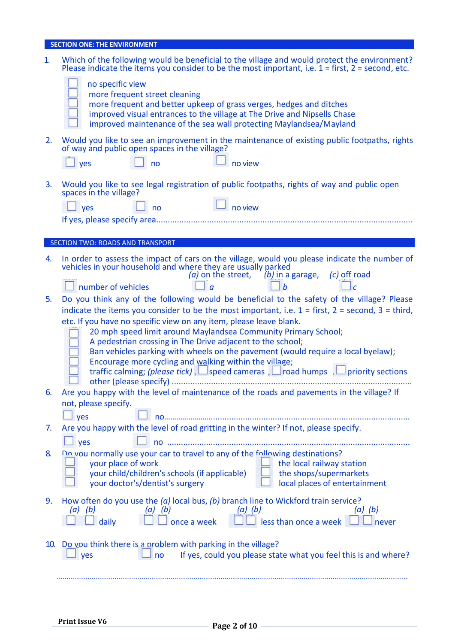### **SECTION ONE: THE ENVIRONMENT**

| 1.  | Which of the following would be beneficial to the village and would protect the environment?<br>Please indicate the items you consider to be the most important, i.e. $1 =$ first, $2 =$ second, etc.                                                                                                                                                                                                                                                 |
|-----|-------------------------------------------------------------------------------------------------------------------------------------------------------------------------------------------------------------------------------------------------------------------------------------------------------------------------------------------------------------------------------------------------------------------------------------------------------|
|     | no specific view<br>more frequent street cleaning<br>more frequent and better upkeep of grass verges, hedges and ditches<br>improved visual entrances to the village at The Drive and Nipsells Chase<br>improved maintenance of the sea wall protecting Maylandsea/Mayland                                                                                                                                                                            |
| 2.  | Would you like to see an improvement in the maintenance of existing public footpaths, rights<br>of way and public open spaces in the village?<br>no view<br>$\vert$ yes<br>no                                                                                                                                                                                                                                                                         |
| 3.  | Would you like to see legal registration of public footpaths, rights of way and public open<br>spaces in the village?<br>no view<br>$\sqrt{1}$ yes<br>n <sub>o</sub>                                                                                                                                                                                                                                                                                  |
|     |                                                                                                                                                                                                                                                                                                                                                                                                                                                       |
|     | SECTION TWO: ROADS AND TRANSPORT                                                                                                                                                                                                                                                                                                                                                                                                                      |
| 4.  | In order to assess the impact of cars on the village, would you please indicate the number of<br>vehicles in your household and where they are usually parked<br>(a) on the street, $(b)$ in a garage, (c) off road                                                                                                                                                                                                                                   |
|     | number of vehicles<br>h                                                                                                                                                                                                                                                                                                                                                                                                                               |
| 5.  | Do you think any of the following would be beneficial to the safety of the village? Please<br>indicate the items you consider to be the most important, i.e. $1 =$ first, $2 =$ second, $3 =$ third,                                                                                                                                                                                                                                                  |
|     | etc. If you have no specific view on any item, please leave blank.<br>20 mph speed limit around Maylandsea Community Primary School;<br>A pedestrian crossing in The Drive adjacent to the school;<br>Ban vehicles parking with wheels on the pavement (would require a local byelaw);<br>Encourage more cycling and walking within the village;<br>traffic calming; (please tick), $\Box$ speed cameras, $\Box$ road humps, $\Box$ priority sections |
| 6.  | Are you happy with the level of maintenance of the roads and pavements in the village? If<br>not, please specify.                                                                                                                                                                                                                                                                                                                                     |
|     | $\perp$ yes                                                                                                                                                                                                                                                                                                                                                                                                                                           |
| 7.  | Are you happy with the level of road gritting in the winter? If not, please specify.                                                                                                                                                                                                                                                                                                                                                                  |
| 8.  | ves<br>Do you normally use your car to travel to any of the following destinations?<br>your place of work<br>the local railway station<br>your child/children's schools (if applicable)<br>the shops/supermarkets<br>local places of entertainment<br>your doctor's/dentist's surgery                                                                                                                                                                 |
| 9.  | How often do you use the $(a)$ local bus, $(b)$ branch line to Wickford train service?<br>$(a)$ $(b)$<br>$(a)$ $(b)$<br>$(a)$ $(b)$<br>$(a)$ $(b)$<br>daily<br>less than once a week<br>once a week<br>never                                                                                                                                                                                                                                          |
| 10. | Do you think there is a problem with parking in the village?<br>If yes, could you please state what you feel this is and where?<br>yes<br>no                                                                                                                                                                                                                                                                                                          |
|     |                                                                                                                                                                                                                                                                                                                                                                                                                                                       |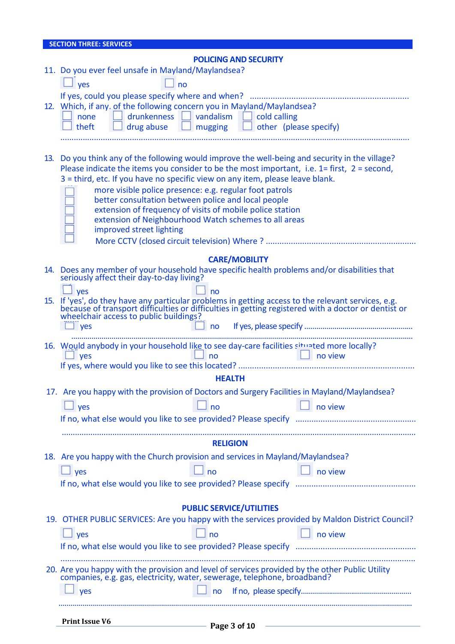| <b>SECTION THREE: SERVICES</b>                                                                                                                                                                                                                                                                                                                                                                                                                                                                                                                           |  |  |  |
|----------------------------------------------------------------------------------------------------------------------------------------------------------------------------------------------------------------------------------------------------------------------------------------------------------------------------------------------------------------------------------------------------------------------------------------------------------------------------------------------------------------------------------------------------------|--|--|--|
| <b>POLICING AND SECURITY</b>                                                                                                                                                                                                                                                                                                                                                                                                                                                                                                                             |  |  |  |
| 11. Do you ever feel unsafe in Mayland/Maylandsea?                                                                                                                                                                                                                                                                                                                                                                                                                                                                                                       |  |  |  |
| $\Box$ yes<br>no                                                                                                                                                                                                                                                                                                                                                                                                                                                                                                                                         |  |  |  |
| 12. Which, if any. of the following concern you in Mayland/Maylandsea?<br>none distribution one distribution one distribution of the vandalism distribution of the distribution of the d<br>$\Box$ drug abuse $\Box$ mugging $\Box$ other (please specify)<br>theft                                                                                                                                                                                                                                                                                      |  |  |  |
| 13. Do you think any of the following would improve the well-being and security in the village?<br>Please indicate the items you consider to be the most important, i.e. $1 =$ first, $2 =$ second,<br>3 = third, etc. If you have no specific view on any item, please leave blank.<br>more visible police presence: e.g. regular foot patrols<br>better consultation between police and local people<br>extension of frequency of visits of mobile police station<br>extension of Neighbourhood Watch schemes to all areas<br>improved street lighting |  |  |  |
| <b>CARE/MOBILITY</b>                                                                                                                                                                                                                                                                                                                                                                                                                                                                                                                                     |  |  |  |
| 14. Does any member of your household have specific health problems and/or disabilities that<br>seriously affect their day-to-day living?                                                                                                                                                                                                                                                                                                                                                                                                                |  |  |  |
| $\overline{\phantom{a}}$ ves<br>no<br>15. If 'yes', do they have any particular problems in getting access to the relevant services, e.g. because of transport difficulties or difficulties in getting registered with a doctor or dentist or<br>wheelchair access to public buildings?<br>yes<br>$\Box$ no                                                                                                                                                                                                                                              |  |  |  |
|                                                                                                                                                                                                                                                                                                                                                                                                                                                                                                                                                          |  |  |  |
| 16. Would anybody in your household like to see day-care facilities situated more locally?<br>$\Box$ yes<br>no<br>no view                                                                                                                                                                                                                                                                                                                                                                                                                                |  |  |  |
| <b>HEALTH</b>                                                                                                                                                                                                                                                                                                                                                                                                                                                                                                                                            |  |  |  |
| 17. Are you happy with the provision of Doctors and Surgery Facilities in Mayland/Maylandsea?                                                                                                                                                                                                                                                                                                                                                                                                                                                            |  |  |  |
| $\Box$ yes<br>no view<br>no                                                                                                                                                                                                                                                                                                                                                                                                                                                                                                                              |  |  |  |
|                                                                                                                                                                                                                                                                                                                                                                                                                                                                                                                                                          |  |  |  |
|                                                                                                                                                                                                                                                                                                                                                                                                                                                                                                                                                          |  |  |  |
| <b>RELIGION</b>                                                                                                                                                                                                                                                                                                                                                                                                                                                                                                                                          |  |  |  |
| 18. Are you happy with the Church provision and services in Mayland/Maylandsea?                                                                                                                                                                                                                                                                                                                                                                                                                                                                          |  |  |  |
| $\Box$ yes<br>no view<br>n <sub>o</sub>                                                                                                                                                                                                                                                                                                                                                                                                                                                                                                                  |  |  |  |
|                                                                                                                                                                                                                                                                                                                                                                                                                                                                                                                                                          |  |  |  |
|                                                                                                                                                                                                                                                                                                                                                                                                                                                                                                                                                          |  |  |  |
| <b>PUBLIC SERVICE/UTILITIES</b>                                                                                                                                                                                                                                                                                                                                                                                                                                                                                                                          |  |  |  |
| 19. OTHER PUBLIC SERVICES: Are you happy with the services provided by Maldon District Council?                                                                                                                                                                                                                                                                                                                                                                                                                                                          |  |  |  |
| $\Box$ yes<br>no view<br>no                                                                                                                                                                                                                                                                                                                                                                                                                                                                                                                              |  |  |  |
|                                                                                                                                                                                                                                                                                                                                                                                                                                                                                                                                                          |  |  |  |
| 20. Are you happy with the provision and level of services provided by the other Public Utility<br>companies, e.g. gas, electricity, water, sewerage, telephone, broadband?                                                                                                                                                                                                                                                                                                                                                                              |  |  |  |
| <b>ves</b><br>n <sub>o</sub>                                                                                                                                                                                                                                                                                                                                                                                                                                                                                                                             |  |  |  |
|                                                                                                                                                                                                                                                                                                                                                                                                                                                                                                                                                          |  |  |  |
| <b>Print Issue V6</b><br><u> 1989 - Johann Stein, mars et al. (</u><br>Page 3 of 10                                                                                                                                                                                                                                                                                                                                                                                                                                                                      |  |  |  |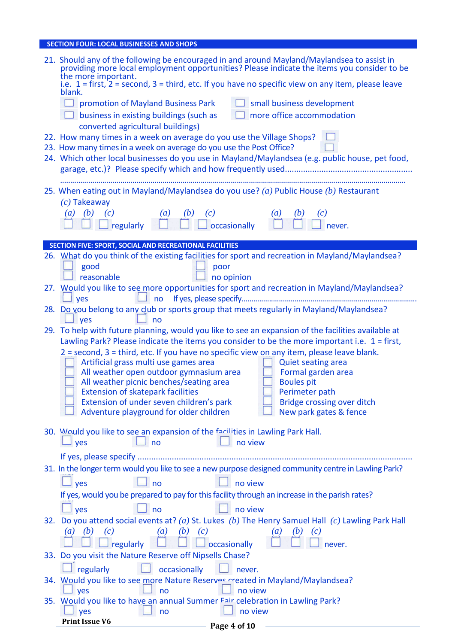### **SECTION FOUR: LOCAL BUSINESSES AND SHOPS**

|            | 21. Should any of the following be encouraged in and around Mayland/Maylandsea to assist in providing more local employment opportunities? Please indicate the items you consider to be<br>the more important. |  |  |  |
|------------|----------------------------------------------------------------------------------------------------------------------------------------------------------------------------------------------------------------|--|--|--|
|            | i.e. $1 =$ first, $2 =$ second, $3 =$ third, etc. If you have no specific view on any item, please leave<br>blank.                                                                                             |  |  |  |
|            | small business development<br>$\Box$ promotion of Mayland Business Park                                                                                                                                        |  |  |  |
|            | more office accommodation<br>$\Box$ business in existing buildings (such as                                                                                                                                    |  |  |  |
|            | converted agricultural buildings)                                                                                                                                                                              |  |  |  |
|            | 22. How many times in a week on average do you use the Village Shops?<br>23. How many times in a week on average do you use the Post Office?                                                                   |  |  |  |
|            | 24. Which other local businesses do you use in Mayland/Maylandsea (e.g. public house, pet food,                                                                                                                |  |  |  |
|            |                                                                                                                                                                                                                |  |  |  |
|            | 25. When eating out in Mayland/Maylandsea do you use? (a) Public House (b) Restaurant                                                                                                                          |  |  |  |
|            | $(c)$ Takeaway                                                                                                                                                                                                 |  |  |  |
|            | (b)<br>$\left(\frac{b}{4}\right)$<br>$\left(a\right)$<br>$\left(a\right)$<br>$\left( c\right)$                                                                                                                 |  |  |  |
|            | $\overline{\bigcup_{\text{regularly}}^{(c)}}$<br>$\frac{(c)}{\Box}$ occasionally<br>never.                                                                                                                     |  |  |  |
|            | SECTION FIVE: SPORT, SOCIAL AND RECREATIONAL FACILITIES                                                                                                                                                        |  |  |  |
|            | 26. What do you think of the existing facilities for sport and recreation in Mayland/Maylandsea?                                                                                                               |  |  |  |
|            | good<br>poor                                                                                                                                                                                                   |  |  |  |
|            | reasonable<br>no opinion<br>27. Would you like to see more opportunities for sport and recreation in Mayland/Maylandsea?                                                                                       |  |  |  |
|            | $\Box$ yes                                                                                                                                                                                                     |  |  |  |
|            | 28. Do you belong to any club or sports group that meets regularly in Mayland/Maylandsea?                                                                                                                      |  |  |  |
|            | yes<br>no                                                                                                                                                                                                      |  |  |  |
|            | 29. To help with future planning, would you like to see an expansion of the facilities available at<br>Lawling Park? Please indicate the items you consider to be the more important i.e. $1 =$ first,         |  |  |  |
|            | 2 = second, 3 = third, etc. If you have no specific view on any item, please leave blank.                                                                                                                      |  |  |  |
|            | Artificial grass multi use games area<br><b>Quiet seating area</b>                                                                                                                                             |  |  |  |
|            | All weather open outdoor gymnasium area<br>Formal garden area                                                                                                                                                  |  |  |  |
|            | All weather picnic benches/seating area<br><b>Boules pit</b><br><b>Extension of skatepark facilities</b><br>Perimeter path                                                                                     |  |  |  |
|            | Bridge crossing over ditch<br>Extension of under seven children's park                                                                                                                                         |  |  |  |
|            | Adventure playground for older children<br>New park gates & fence                                                                                                                                              |  |  |  |
|            | 30. Would you like to see an expansion of the facilities in Lawling Park Hall.                                                                                                                                 |  |  |  |
|            | no view<br>no<br>yes                                                                                                                                                                                           |  |  |  |
|            |                                                                                                                                                                                                                |  |  |  |
|            | 31. In the longer term would you like to see a new purpose designed community centre in Lawling Park?                                                                                                          |  |  |  |
|            | yes<br>no view<br>no                                                                                                                                                                                           |  |  |  |
|            | If yes, would you be prepared to pay for this facility through an increase in the parish rates?                                                                                                                |  |  |  |
|            | no view<br>no<br>yes                                                                                                                                                                                           |  |  |  |
| <b>32.</b> | Do you attend social events at? (a) St. Lukes (b) The Henry Samuel Hall (c) Lawling Park Hall                                                                                                                  |  |  |  |
|            | $(b)$ $(c)$<br>(c)<br>$\left(a\right)$<br>(b)<br>(b)<br>(c)<br>$\alpha$ )<br>a                                                                                                                                 |  |  |  |
|            | occasionally<br>regularly<br>never.<br>33. Do you visit the Nature Reserve off Nipsells Chase?                                                                                                                 |  |  |  |
|            | regularly<br>occasionally<br>never.                                                                                                                                                                            |  |  |  |
|            | 34. Would you like to see more Nature Reserves created in Mayland/Maylandsea?                                                                                                                                  |  |  |  |
|            | yes<br>no view<br>no                                                                                                                                                                                           |  |  |  |
|            | 35. Would you like to have an annual Summer Fair celebration in Lawling Park?                                                                                                                                  |  |  |  |
|            | no view<br>yes<br>no<br><b>Print Issue V6</b>                                                                                                                                                                  |  |  |  |
|            | Page 4 of 10                                                                                                                                                                                                   |  |  |  |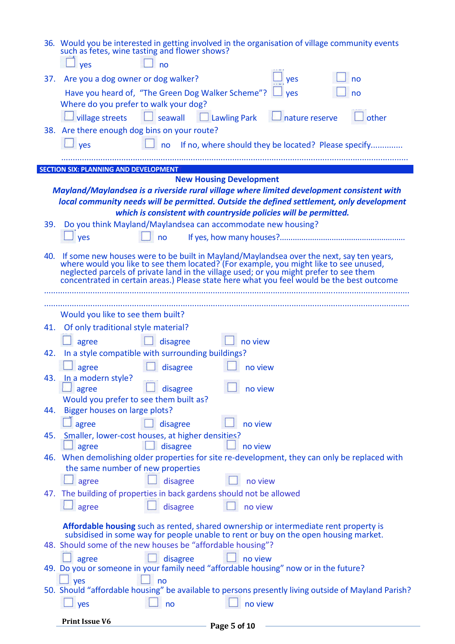|     | 36. Would you be interested in getting involved in the organisation of village community events<br>such as fetes, wine tasting and flower shows?<br>$\Box$ no<br>$\overline{\phantom{a}}$ yes                                                                                                                               |
|-----|-----------------------------------------------------------------------------------------------------------------------------------------------------------------------------------------------------------------------------------------------------------------------------------------------------------------------------|
| 37. | Are you a dog owner or dog walker?<br><b>yes</b><br>no                                                                                                                                                                                                                                                                      |
|     | Have you heard of, "The Green Dog Walker Scheme"? $\Box$ yes<br>no                                                                                                                                                                                                                                                          |
|     | Where do you prefer to walk your dog?                                                                                                                                                                                                                                                                                       |
|     | $\Box$ village streets $\Box$ seawall $\Box$ Lawling Park $\Box$ nature reserve<br>other                                                                                                                                                                                                                                    |
|     | 38. Are there enough dog bins on your route?                                                                                                                                                                                                                                                                                |
|     | $\frac{1}{2}$ yes<br>$\Box$ no If no, where should they be located? Please specify                                                                                                                                                                                                                                          |
|     |                                                                                                                                                                                                                                                                                                                             |
|     | <b>SECTION SIX: PLANNING AND DEVELOPMENT</b>                                                                                                                                                                                                                                                                                |
|     | <b>New Housing Development</b>                                                                                                                                                                                                                                                                                              |
|     | Mayland/Maylandsea is a riverside rural village where limited development consistent with                                                                                                                                                                                                                                   |
|     | local community needs will be permitted. Outside the defined settlement, only development                                                                                                                                                                                                                                   |
|     | which is consistent with countryside policies will be permitted.                                                                                                                                                                                                                                                            |
|     | 39. Do you think Mayland/Maylandsea can accommodate new housing?                                                                                                                                                                                                                                                            |
|     | yes<br>no                                                                                                                                                                                                                                                                                                                   |
|     | 40. If some new houses were to be built in Mayland/Maylandsea over the next, say ten years, where would you like to see them located? (For example, you might like to see unused, neglected parcels of private land in the vil<br>concentrated in certain areas.) Please state here what you feel would be the best outcome |
|     |                                                                                                                                                                                                                                                                                                                             |
|     | Would you like to see them built?                                                                                                                                                                                                                                                                                           |
|     | 41. Of only traditional style material?                                                                                                                                                                                                                                                                                     |
|     | $\Box$ disagree<br>$\Box$ no view<br>agree                                                                                                                                                                                                                                                                                  |
|     | 42. In a style compatible with surrounding buildings?                                                                                                                                                                                                                                                                       |
|     | agree<br>disagree<br>no view                                                                                                                                                                                                                                                                                                |
|     | 43. In a modern style?                                                                                                                                                                                                                                                                                                      |
|     | no view<br>disagree<br>agree                                                                                                                                                                                                                                                                                                |
|     | Would you prefer to see them built as?                                                                                                                                                                                                                                                                                      |
| 44. | Bigger houses on large plots?                                                                                                                                                                                                                                                                                               |
|     | disagree<br>no view<br>agree                                                                                                                                                                                                                                                                                                |
| 45. | Smaller, lower-cost houses, at higher densities?                                                                                                                                                                                                                                                                            |
|     | disagree<br>no view<br>agree                                                                                                                                                                                                                                                                                                |
| 46. | When demolishing older properties for site re-development, they can only be replaced with<br>the same number of new properties                                                                                                                                                                                              |
|     |                                                                                                                                                                                                                                                                                                                             |
|     | disagree<br>no view<br>agree                                                                                                                                                                                                                                                                                                |
|     | 47. The building of properties in back gardens should not be allowed                                                                                                                                                                                                                                                        |
|     | agree<br>disagree<br>no view                                                                                                                                                                                                                                                                                                |
|     | Affordable housing such as rented, shared ownership or intermediate rent property is                                                                                                                                                                                                                                        |
|     | subsidised in some way for people unable to rent or buy on the open housing market.                                                                                                                                                                                                                                         |
|     | 48. Should some of the new houses be "affordable housing"?                                                                                                                                                                                                                                                                  |
|     | disagree<br>no view<br>agree                                                                                                                                                                                                                                                                                                |
|     | 49. Do you or someone in your family need "affordable housing" now or in the future?                                                                                                                                                                                                                                        |
|     | yes<br>no<br>50. Should "affordable housing" be available to persons presently living outside of Mayland Parish?                                                                                                                                                                                                            |
|     |                                                                                                                                                                                                                                                                                                                             |
|     | no view<br>yes<br>no                                                                                                                                                                                                                                                                                                        |

χ,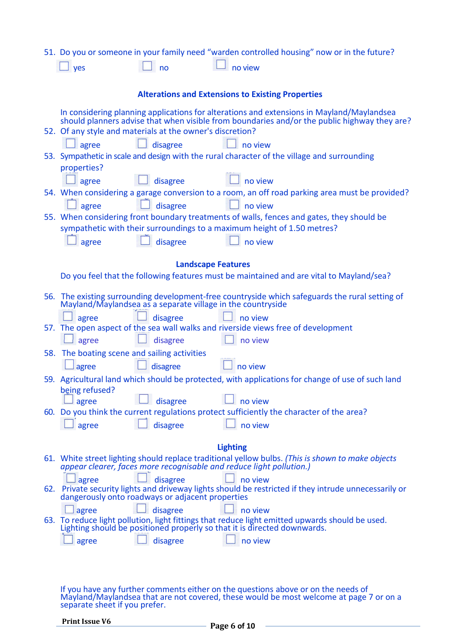|     | 51. Do you or someone in your family need "warden controlled housing" now or in the future?                                                                                               |  |  |  |
|-----|-------------------------------------------------------------------------------------------------------------------------------------------------------------------------------------------|--|--|--|
|     | no view<br>yes<br>no                                                                                                                                                                      |  |  |  |
|     |                                                                                                                                                                                           |  |  |  |
|     | <b>Alterations and Extensions to Existing Properties</b>                                                                                                                                  |  |  |  |
|     | In considering planning applications for alterations and extensions in Mayland/Maylandsea<br>should planners advise that when visible from boundaries and/or the public highway they are? |  |  |  |
|     | 52. Of any style and materials at the owner's discretion?                                                                                                                                 |  |  |  |
|     | disagree<br>$\Box$ agree<br>$\perp$ no view                                                                                                                                               |  |  |  |
|     | 53. Sympathetic in scale and design with the rural character of the village and surrounding                                                                                               |  |  |  |
|     | properties?                                                                                                                                                                               |  |  |  |
|     | disagree<br>no view<br>$\Box$ agree                                                                                                                                                       |  |  |  |
|     | 54. When considering a garage conversion to a room, an off road parking area must be provided?                                                                                            |  |  |  |
|     | disagree<br>agree<br>no view<br>55. When considering front boundary treatments of walls, fences and gates, they should be                                                                 |  |  |  |
|     | sympathetic with their surroundings to a maximum height of 1.50 metres?                                                                                                                   |  |  |  |
|     | disagree<br>agree<br>no view                                                                                                                                                              |  |  |  |
|     |                                                                                                                                                                                           |  |  |  |
|     | <b>Landscape Features</b>                                                                                                                                                                 |  |  |  |
|     | Do you feel that the following features must be maintained and are vital to Mayland/sea?                                                                                                  |  |  |  |
| 56. |                                                                                                                                                                                           |  |  |  |
|     | The existing surrounding development-free countryside which safeguards the rural setting of Mayland/Maylandsea as a separate village in the countryside                                   |  |  |  |
|     | disagree<br>agree<br>no view                                                                                                                                                              |  |  |  |
|     | 57. The open aspect of the sea wall walks and riverside views free of development<br>disagree<br>no view<br>agree                                                                         |  |  |  |
|     | 58. The boating scene and sailing activities                                                                                                                                              |  |  |  |
|     | no view<br>disagree<br>agree                                                                                                                                                              |  |  |  |
|     | 59. Agricultural land which should be protected, with applications for change of use of such land                                                                                         |  |  |  |
|     | being refused?                                                                                                                                                                            |  |  |  |
|     | disagree<br>no view<br>J agree                                                                                                                                                            |  |  |  |
|     | 60. Do you think the current regulations protect sufficiently the character of the area?                                                                                                  |  |  |  |
|     | disagree<br>agree<br>no view                                                                                                                                                              |  |  |  |
|     | <b>Lighting</b>                                                                                                                                                                           |  |  |  |
|     | 61. White street lighting should replace traditional yellow bulbs. (This is shown to make objects                                                                                         |  |  |  |
|     | appear clearer, faces more recognisable and reduce light pollution.)                                                                                                                      |  |  |  |
|     | disagree<br>agree<br>no view<br>62. Private security lights and driveway lights should be restricted if they intrude unnecessarily or                                                     |  |  |  |
|     | dangerously onto roadways or adjacent properties                                                                                                                                          |  |  |  |
|     | disagree<br>no view<br>agree                                                                                                                                                              |  |  |  |
|     | 63. To reduce light pollution, light fittings that reduce light emitted upwards should be used.<br>Lighting should be positioned properly so that it is directed downwards.               |  |  |  |
|     | disagree<br>no view<br>agree                                                                                                                                                              |  |  |  |
|     |                                                                                                                                                                                           |  |  |  |
|     |                                                                                                                                                                                           |  |  |  |
|     |                                                                                                                                                                                           |  |  |  |

If you have any further comments either on the questions above or on the needs of Mayland/Maylandsea that are not covered, these would be most welcome at page 7 or on a separate sheet if you prefer.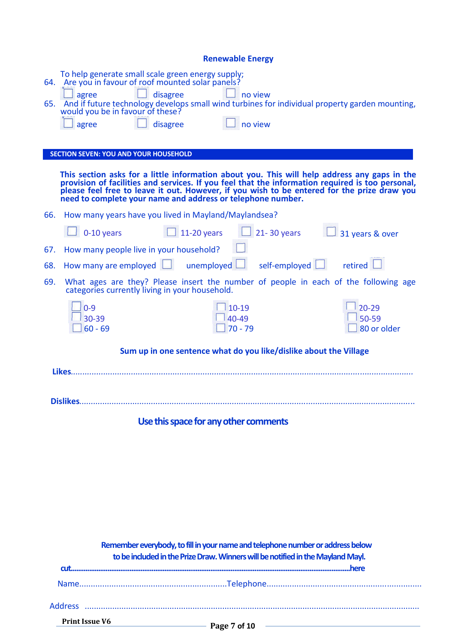| <b>Renewable Energy</b>                                                                                                                                                                                                                                                                                                                                                                                        |                                   |  |  |  |
|----------------------------------------------------------------------------------------------------------------------------------------------------------------------------------------------------------------------------------------------------------------------------------------------------------------------------------------------------------------------------------------------------------------|-----------------------------------|--|--|--|
| To help generate small scale green energy supply;<br>64. Are you in favour of roof mounted solar panels?<br>disagree<br>no view<br>agree<br>65. And if future technology develops small wind turbines for individual property garden mounting, would you be in favour of these?<br>no view<br>disagree<br>agree                                                                                                |                                   |  |  |  |
| <b>SECTION SEVEN: YOU AND YOUR HOUSEHOLD</b><br>This section asks for a little information about you. This will help address any gaps in the<br>provision of facilities and services. If you feel that the information required is too personal,<br>please feel free to leave it out. However, if you wish to be entered for the prize draw you<br>need to complete your name and address or telephone number. |                                   |  |  |  |
| 66. How many years have you lived in Mayland/Maylandsea?                                                                                                                                                                                                                                                                                                                                                       |                                   |  |  |  |
| $21 - 30$ years $\blacksquare$<br>$\Box$ 0-10 years<br>$\vert$ 11-20 years                                                                                                                                                                                                                                                                                                                                     | 31 years & over                   |  |  |  |
| How many people live in your household?<br>67.                                                                                                                                                                                                                                                                                                                                                                 |                                   |  |  |  |
| How many are employed $\Box$ unemployed $\Box$<br>self-employed desired<br>68.                                                                                                                                                                                                                                                                                                                                 |                                   |  |  |  |
| 69.<br>What ages are they? Please insert the number of people in each of the following age<br>categories currently living in your household.                                                                                                                                                                                                                                                                   |                                   |  |  |  |
| $10-19$<br>$0 - 9$<br>30-39<br>40-49<br>$70 - 79$<br>$60 - 69$                                                                                                                                                                                                                                                                                                                                                 | $20 - 29$<br>50-59<br>80 or older |  |  |  |
| Sum up in one sentence what do you like/dislike about the Village                                                                                                                                                                                                                                                                                                                                              |                                   |  |  |  |
| <u>Likes</u>                                                                                                                                                                                                                                                                                                                                                                                                   |                                   |  |  |  |
|                                                                                                                                                                                                                                                                                                                                                                                                                |                                   |  |  |  |
| Use this space for any other comments                                                                                                                                                                                                                                                                                                                                                                          |                                   |  |  |  |

| Remember everybody, to fill in your name and telephone number or address below<br>to be included in the Prize Draw. Winners will be notified in the Mayland Mayl. |  |  |  |
|-------------------------------------------------------------------------------------------------------------------------------------------------------------------|--|--|--|
|                                                                                                                                                                   |  |  |  |
|                                                                                                                                                                   |  |  |  |
|                                                                                                                                                                   |  |  |  |
| <b>Print Issue V6</b>                                                                                                                                             |  |  |  |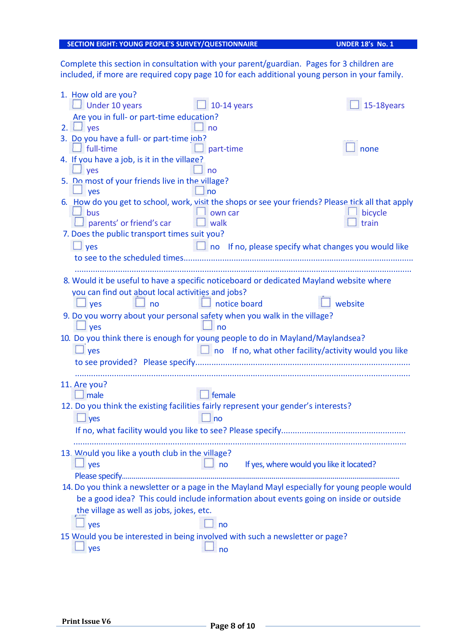#### **SECTION EIGHT: YOUNG PEOPLE'S SURVEY/QUESTIONNAIRE UNDER 18's No. 1**

Complete this section in consultation with your parent/guardian. Pages for 3 children are included, if more are required copy page 10 for each additional young person in your family.

| 1. How old are you?<br>$\Box$ Under 10 years               | 10-14 years                                                                                        | 15-18years |
|------------------------------------------------------------|----------------------------------------------------------------------------------------------------|------------|
| Are you in full- or part-time education?                   |                                                                                                    |            |
| 2. $\Box$ yes                                              | no                                                                                                 |            |
| 3. Do you have a full- or part-time job?                   |                                                                                                    |            |
| $\Box$ full-time                                           | part-time                                                                                          | none       |
| 4. If you have a job, is it in the village?<br>$\perp$ yes | <b>no</b>                                                                                          |            |
| 5. Do most of your friends live in the village?<br>yes     | no                                                                                                 |            |
|                                                            | 6. How do you get to school, work, visit the shops or see your friends? Please tick all that apply |            |
| bus                                                        | own car                                                                                            | bicycle    |
| parents' or friend's car                                   | $\Box$ walk                                                                                        | train      |
| 7. Does the public transport times suit you?               |                                                                                                    |            |
| $\Box$ yes                                                 | $\Box$ no If no, please specify what changes you would like                                        |            |
|                                                            |                                                                                                    |            |
|                                                            |                                                                                                    |            |
|                                                            | 8. Would it be useful to have a specific noticeboard or dedicated Mayland website where            |            |
| you can find out about local activities and jobs?          |                                                                                                    |            |
| $\Box$ yes<br>$\Box$ no                                    | $\Box$ notice board                                                                                | website    |
|                                                            | 9. Do you worry about your personal safety when you walk in the village?                           |            |
| l yes                                                      | no                                                                                                 |            |
|                                                            | 10. Do you think there is enough for young people to do in Mayland/Maylandsea?                     |            |
| $\Box$ yes                                                 | $\Box$ no If no, what other facility/activity would you like                                       |            |
|                                                            |                                                                                                    |            |
|                                                            |                                                                                                    |            |
| 11. Are you?                                               |                                                                                                    |            |
| male                                                       | female                                                                                             |            |
|                                                            | 12. Do you think the existing facilities fairly represent your gender's interests?                 |            |
| $\Box$ yes                                                 | no                                                                                                 |            |
| If no, what facility would you like to see? Please specify |                                                                                                    |            |
|                                                            |                                                                                                    |            |
| 13. Would you like a youth club in the village?            |                                                                                                    |            |
| yes                                                        | If yes, where would you like it located?<br>no                                                     |            |
|                                                            |                                                                                                    |            |
|                                                            | 14. Do you think a newsletter or a page in the Mayland Mayl especially for young people would      |            |
|                                                            | be a good idea? This could include information about events going on inside or outside             |            |
| the village as well as jobs, jokes, etc.                   |                                                                                                    |            |
|                                                            |                                                                                                    |            |
| yes                                                        | no                                                                                                 |            |
|                                                            | 15 Would you be interested in being involved with such a newsletter or page?                       |            |
| yes                                                        | no                                                                                                 |            |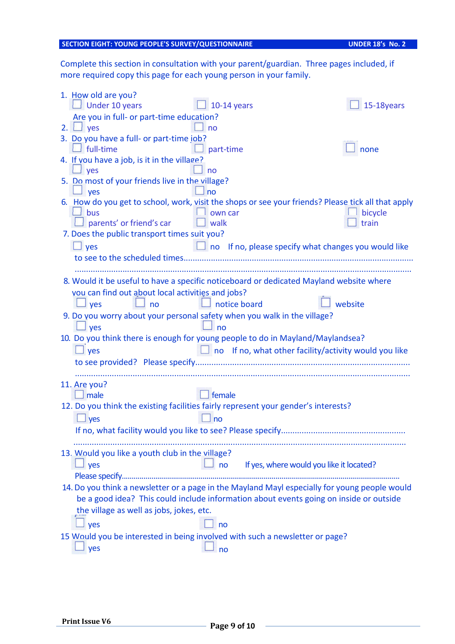#### **SECTION EIGHT: YOUNG PEOPLE'S SURVEY/QUESTIONNAIRE UNDER 18's No. 2**

Complete this section in consultation with your parent/guardian. Three pages included, if more required copy this page for each young person in your family.

| 1. How old are you?<br>$\Box$ Under 10 years                             | 10-14 years                                                                                        | 15-18years |
|--------------------------------------------------------------------------|----------------------------------------------------------------------------------------------------|------------|
| Are you in full- or part-time education?                                 |                                                                                                    |            |
| 2. $\Box$ yes                                                            | n <sub>o</sub>                                                                                     |            |
| 3. Do you have a full- or part-time job?                                 |                                                                                                    |            |
| full-time                                                                | part-time                                                                                          | none       |
| 4. If you have a job, is it in the village?                              |                                                                                                    |            |
| $\Box$ yes                                                               | no                                                                                                 |            |
| 5. Do most of your friends live in the village?                          |                                                                                                    |            |
| yes                                                                      | no                                                                                                 |            |
|                                                                          | 6. How do you get to school, work, visit the shops or see your friends? Please tick all that apply |            |
| bus                                                                      | own car                                                                                            | bicycle    |
| parents' or friend's car                                                 | $\Box$ walk                                                                                        | train      |
| 7. Does the public transport times suit you?                             |                                                                                                    |            |
| $\Box$ yes                                                               | I no If no, please specify what changes you would like                                             |            |
|                                                                          |                                                                                                    |            |
|                                                                          |                                                                                                    |            |
|                                                                          | 8. Would it be useful to have a specific noticeboard or dedicated Mayland website where            |            |
| you can find out about local activities and jobs?                        |                                                                                                    |            |
| $\Box$ yes<br>$\Box$ no                                                  | $\Box$ notice board                                                                                | website    |
| 9. Do you worry about your personal safety when you walk in the village? |                                                                                                    |            |
| $\perp$ yes                                                              | 」no                                                                                                |            |
|                                                                          | 10. Do you think there is enough for young people to do in Mayland/Maylandsea?                     |            |
| $\Box$ yes                                                               | $\Box$ no If no, what other facility/activity would you like                                       |            |
|                                                                          |                                                                                                    |            |
|                                                                          |                                                                                                    |            |
| 11. Are you?                                                             |                                                                                                    |            |
| $\Box$ male                                                              | female                                                                                             |            |
|                                                                          | 12. Do you think the existing facilities fairly represent your gender's interests?                 |            |
| $\Box$ yes                                                               | no                                                                                                 |            |
|                                                                          |                                                                                                    |            |
|                                                                          |                                                                                                    |            |
| 13. Would you like a youth club in the village?                          |                                                                                                    |            |
| yes                                                                      | If yes, where would you like it located?<br>no                                                     |            |
|                                                                          |                                                                                                    |            |
|                                                                          | 14. Do you think a newsletter or a page in the Mayland Mayl especially for young people would      |            |
|                                                                          | be a good idea? This could include information about events going on inside or outside             |            |
| the village as well as jobs, jokes, etc.                                 |                                                                                                    |            |
| yes                                                                      | no                                                                                                 |            |
|                                                                          | 15 Would you be interested in being involved with such a newsletter or page?                       |            |
|                                                                          |                                                                                                    |            |
| yes                                                                      | no                                                                                                 |            |